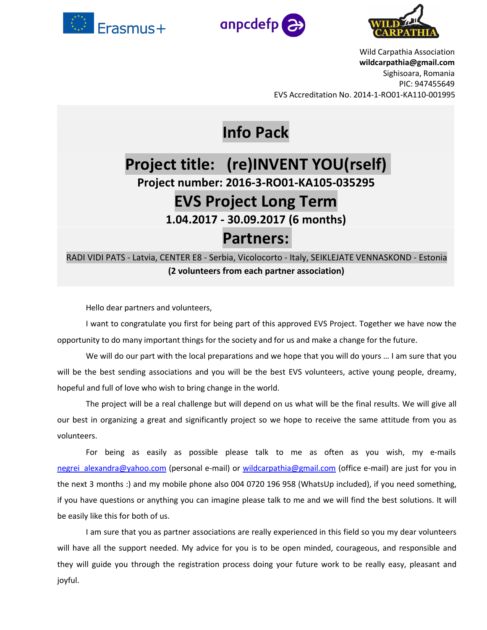





Wild Carpathia Association **wildcarpathia@gmail.com** Sighisoara, Romania PIC: 947455649 EVS Accreditation No. 2014-1-RO01-KA110-001995

# **Info Pack**

# **Project title: (re)INVENT YOU(rself) Project number: 2016-3-RO01-KA105-035295 EVS Project Long Term 1.04.2017 - 30.09.2017 (6 months) Partners:**

RADI VIDI PATS - Latvia, CENTER E8 - Serbia, Vicolocorto - Italy, SEIKLEJATE VENNASKOND - Estonia **(2 volunteers from each partner association)**

Hello dear partners and volunteers,

I want to congratulate you first for being part of this approved EVS Project. Together we have now the opportunity to do many important things for the society and for us and make a change for the future.

We will do our part with the local preparations and we hope that you will do yours … I am sure that you will be the best sending associations and you will be the best EVS volunteers, active young people, dreamy, hopeful and full of love who wish to bring change in the world.

The project will be a real challenge but will depend on us what will be the final results. We will give all our best in organizing a great and significantly project so we hope to receive the same attitude from you as volunteers.

For being as easily as possible please talk to me as often as you wish, my e-mails [negrei\\_alexandra@yahoo.com](mailto:negrei_alexandra@yahoo.com) (personal e-mail) or [wildcarpathia@gmail.com](mailto:wildcarpathia@gmail.com) (office e-mail) are just for you in the next 3 months :) and my mobile phone also 004 0720 196 958 (WhatsUp included), if you need something, if you have questions or anything you can imagine please talk to me and we will find the best solutions. It will be easily like this for both of us.

I am sure that you as partner associations are really experienced in this field so you my dear volunteers will have all the support needed. My advice for you is to be open minded, courageous, and responsible and they will guide you through the registration process doing your future work to be really easy, pleasant and joyful.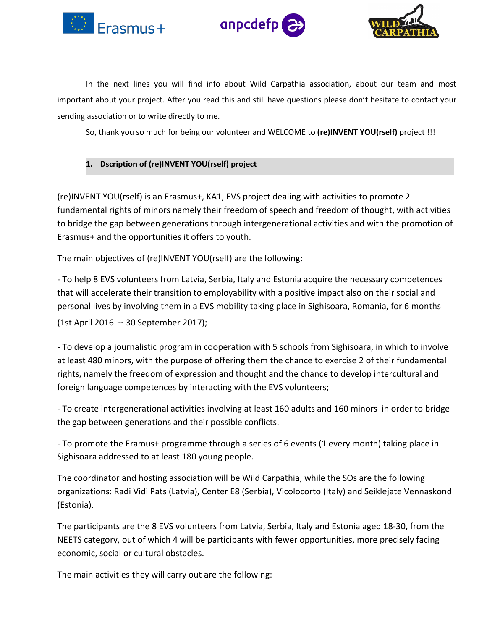





In the next lines you will find info about Wild Carpathia association, about our team and most important about your project. After you read this and still have questions please don't hesitate to contact your sending association or to write directly to me.

So, thank you so much for being our volunteer and WELCOME to **(re)INVENT YOU(rself)** project !!!

## **1. Dscription of (re)INVENT YOU(rself) project**

(re)INVENT YOU(rself) is an Erasmus+, KA1, EVS project dealing with activities to promote 2 fundamental rights of minors namely their freedom of speech and freedom of thought, with activities to bridge the gap between generations through intergenerational activities and with the promotion of Erasmus+ and the opportunities it offers to youth.

The main objectives of (re)INVENT YOU(rself) are the following:

- To help 8 EVS volunteers from Latvia, Serbia, Italy and Estonia acquire the necessary competences that will accelerate their transition to employability with a positive impact also on their social and personal lives by involving them in a EVS mobility taking place in Sighisoara, Romania, for 6 months (1st April 2016 – 30 September 2017);

- To develop a journalistic program in cooperation with 5 schools from Sighisoara, in which to involve at least 480 minors, with the purpose of offering them the chance to exercise 2 of their fundamental rights, namely the freedom of expression and thought and the chance to develop intercultural and foreign language competences by interacting with the EVS volunteers;

- To create intergenerational activities involving at least 160 adults and 160 minors in order to bridge the gap between generations and their possible conflicts.

- To promote the Eramus+ programme through a series of 6 events (1 every month) taking place in Sighisoara addressed to at least 180 young people.

The coordinator and hosting association will be Wild Carpathia, while the SOs are the following organizations: Radi Vidi Pats (Latvia), Center E8 (Serbia), Vicolocorto (Italy) and Seiklejate Vennaskond (Estonia).

The participants are the 8 EVS volunteers from Latvia, Serbia, Italy and Estonia aged 18-30, from the NEETS category, out of which 4 will be participants with fewer opportunities, more precisely facing economic, social or cultural obstacles.

The main activities they will carry out are the following: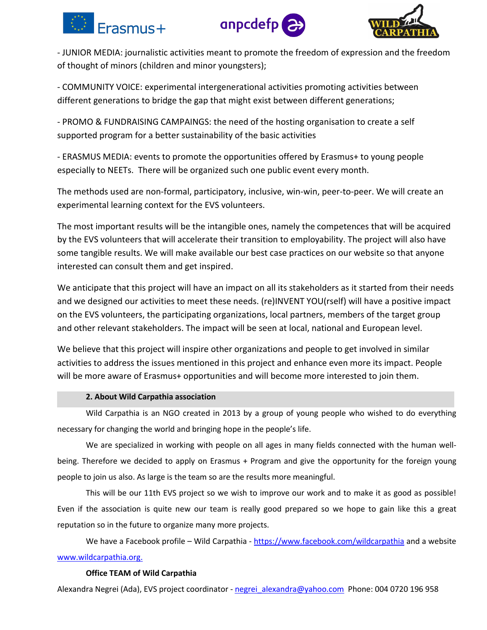





- JUNIOR MEDIA: journalistic activities meant to promote the freedom of expression and the freedom of thought of minors (children and minor youngsters);

- COMMUNITY VOICE: experimental intergenerational activities promoting activities between different generations to bridge the gap that might exist between different generations;

- PROMO & FUNDRAISING CAMPAINGS: the need of the hosting organisation to create a self supported program for a better sustainability of the basic activities

- ERASMUS MEDIA: events to promote the opportunities offered by Erasmus+ to young people especially to NEETs. There will be organized such one public event every month.

The methods used are non-formal, participatory, inclusive, win-win, peer-to-peer. We will create an experimental learning context for the EVS volunteers.

The most important results will be the intangible ones, namely the competences that will be acquired by the EVS volunteers that will accelerate their transition to employability. The project will also have some tangible results. We will make available our best case practices on our website so that anyone interested can consult them and get inspired.

We anticipate that this project will have an impact on all its stakeholders as it started from their needs and we designed our activities to meet these needs. (re)INVENT YOU(rself) will have a positive impact on the EVS volunteers, the participating organizations, local partners, members of the target group and other relevant stakeholders. The impact will be seen at local, national and European level.

We believe that this project will inspire other organizations and people to get involved in similar activities to address the issues mentioned in this project and enhance even more its impact. People will be more aware of Erasmus+ opportunities and will become more interested to join them.

### **2. About Wild Carpathia association**

Wild Carpathia is an NGO created in 2013 by a group of young people who wished to do everything necessary for changing the world and bringing hope in the people's life.

We are specialized in working with people on all ages in many fields connected with the human well being. Therefore we decided to apply on Erasmus + Program and give the opportunity for the foreign young people to join us also. As large is the team so are the results more meaningful.

This will be our 11th EVS project so we wish to improve our work and to make it as good as possible! Even if the association is quite new our team is really good prepared so we hope to gain like this a great reputation so in the future to organize many more projects.

We have a Facebook profile – Wild Carpathia - <https://www.facebook.com/wildcarpathia> and a website [www.wildcarpathia.org.](http://www.wildcarpathia.org.)

### **Office TEAM of Wild Carpathia**

Alexandra Negrei (Ada), EVS project coordinator - [negrei\\_alexandra@yahoo.com](mailto:negrei_alexandra@yahoo.com) Phone: 004 0720 196 958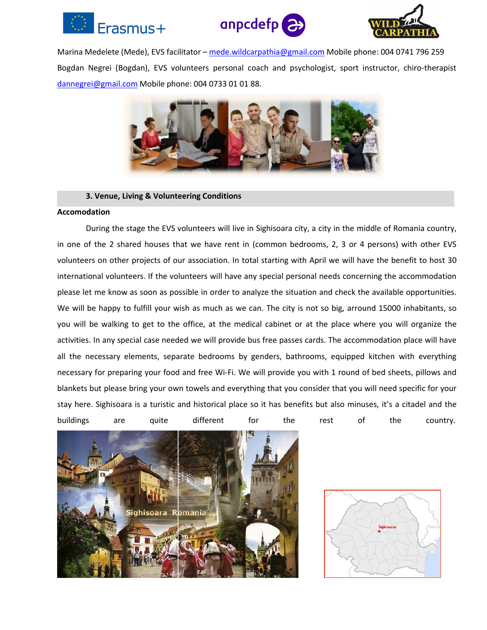





Marina Medelete (Mede), EVS facilitator - [mede.wildcarpathia@gmail.com](mailto:mede.wildcarpathia@gmail.com) Mobile phone: 004 0741 796 259 Bogdan Negrei (Bogdan), EVS volunteers personal coach and psychologist, sport instructor, chiro-therapist [dannegrei@gmail.com](mailto:dannegrei@gmail.com) Mobile phone: 004 0733 01 01 88.



#### **3. Venue, Living & Volunteering Conditions**

#### **Accomodation**

During the stage the EVS volunteers will live in Sighisoara city, a city in the middle of Romania country, in one of the 2 shared houses that we have rent in (common bedrooms, 2, 3 or 4 persons) with other EVS volunteers on other projects of our association. In total starting with April we will have the benefit to host 30 international volunteers. If the volunteers will have any special personal needs concerning the accommodation please let me know as soon as possible in order to analyze the situation and check the available opportunities. We will be happy to fulfill your wish as much as we can. The city is not so big, arround 15000 inhabitants, so you will be walking to get to the office, at the medical cabinet or at the place where you will organize the activities. In any special case needed we will provide bus free passes cards. The accommodation place will have all the necessary elements, separate bedrooms by genders, bathrooms, equipped kitchen with everything necessary for preparing your food and free Wi-Fi. We will provide you with 1 round of bed sheets, pillows and blankets but please bring your own towels and everything that you consider that you will need specific foryour stay here. Sighisoara is a turistic and historical place so it has benefits but also minuses, it's a citadel and the buildings are quite different for the rest of the country.



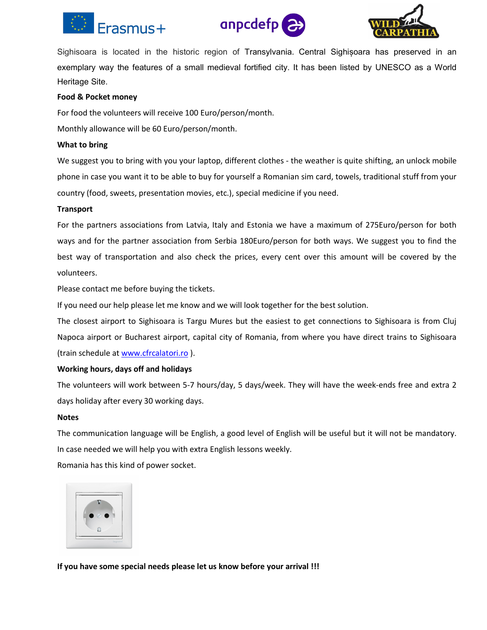





Sighisoara is located in the historic region of [Transylvania](https://en.wikipedia.org/wiki/Transylvania). Central [Sighișoara](https://en.wikipedia.org/wiki/Historic_Centre_of_Sighi%C8%99oara) has preserved in an exemplary way the features of a small [medieval](https://en.wikipedia.org/wiki/Middle_Ages) fortified city. It has been listed by [UNESCO](https://en.wikipedia.org/wiki/UNESCO) as a [World](https://en.wikipedia.org/wiki/World_Heritage_Site) [Heritage](https://en.wikipedia.org/wiki/World_Heritage_Site) Site.

#### **Food & Pocket money**

For food the volunteers will receive 100 Euro/person/month.

Monthly allowance will be 60 Euro/person/month.

#### **What to bring**

We suggest you to bring with you your laptop, different clothes - the weather is quite shifting, an unlock mobile phone in case you want it to be able to buy for yourself a Romanian sim card, towels, traditional stuff from your country (food, sweets, presentation movies, etc.), special medicine if you need.

#### **Transport**

For the partners associations from Latvia, Italy and Estonia we have a maximum of 275Euro/person for both ways and for the partner association from Serbia 180Euro/person for both ways. We suggest you to find the best way of transportation and also check the prices, every cent over this amount will be covered by the volunteers.

Please contact me before buying the tickets.

If you need our help please let me know and we will look together for the best solution.

The closest airport to Sighisoara is Targu Mures but the easiest to get connections to Sighisoara is from Cluj Napoca airport or Bucharest airport, capital city of Romania, from where you have direct trains to Sighisoara (train schedule at [www.cfrcalatori.ro](http://www.cfrcalatori.ro)).

#### **Working hours, days off and holidays**

The volunteers will work between 5-7 hours/day, 5 days/week. They will have the week-ends free and extra 2 days holiday after every 30 working days.

#### **Notes**

The communication language will be English, a good level of English will be usefulbut it will not be mandatory. In case needed we will help you with extra English lessons weekly.

Romania has this kind of power socket.



**If you have some special needs please let us know before your arrival !!!**